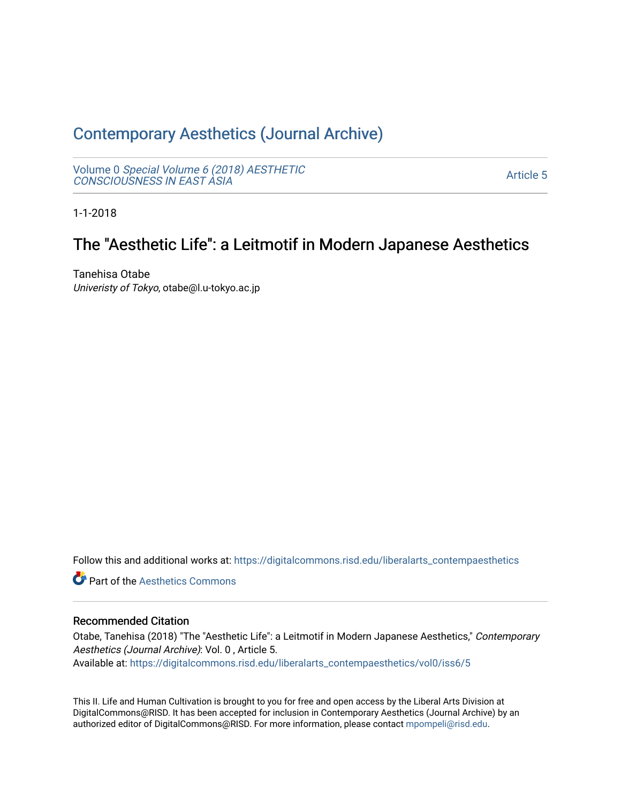# [Contemporary Aesthetics \(Journal Archive\)](https://digitalcommons.risd.edu/liberalarts_contempaesthetics)

Volume 0 [Special Volume 6 \(2018\) AESTHETIC](https://digitalcommons.risd.edu/liberalarts_contempaesthetics/vol0) [CONSCIOUSNESS IN EAST ASIA](https://digitalcommons.risd.edu/liberalarts_contempaesthetics/vol0)

[Article 5](https://digitalcommons.risd.edu/liberalarts_contempaesthetics/vol0/iss6/5) 

1-1-2018

# The "Aesthetic Life": a Leitmotif in Modern Japanese Aesthetics

Tanehisa Otabe Univeristy of Tokyo, otabe@l.u-tokyo.ac.jp

Follow this and additional works at: [https://digitalcommons.risd.edu/liberalarts\\_contempaesthetics](https://digitalcommons.risd.edu/liberalarts_contempaesthetics?utm_source=digitalcommons.risd.edu%2Fliberalarts_contempaesthetics%2Fvol0%2Fiss6%2F5&utm_medium=PDF&utm_campaign=PDFCoverPages) 

**C** Part of the Aesthetics Commons

## Recommended Citation

Otabe, Tanehisa (2018) "The "Aesthetic Life": a Leitmotif in Modern Japanese Aesthetics," Contemporary Aesthetics (Journal Archive): Vol. 0 , Article 5. Available at: [https://digitalcommons.risd.edu/liberalarts\\_contempaesthetics/vol0/iss6/5](https://digitalcommons.risd.edu/liberalarts_contempaesthetics/vol0/iss6/5?utm_source=digitalcommons.risd.edu%2Fliberalarts_contempaesthetics%2Fvol0%2Fiss6%2F5&utm_medium=PDF&utm_campaign=PDFCoverPages)

This II. Life and Human Cultivation is brought to you for free and open access by the Liberal Arts Division at DigitalCommons@RISD. It has been accepted for inclusion in Contemporary Aesthetics (Journal Archive) by an authorized editor of DigitalCommons@RISD. For more information, please contact [mpompeli@risd.edu.](mailto:mpompeli@risd.edu)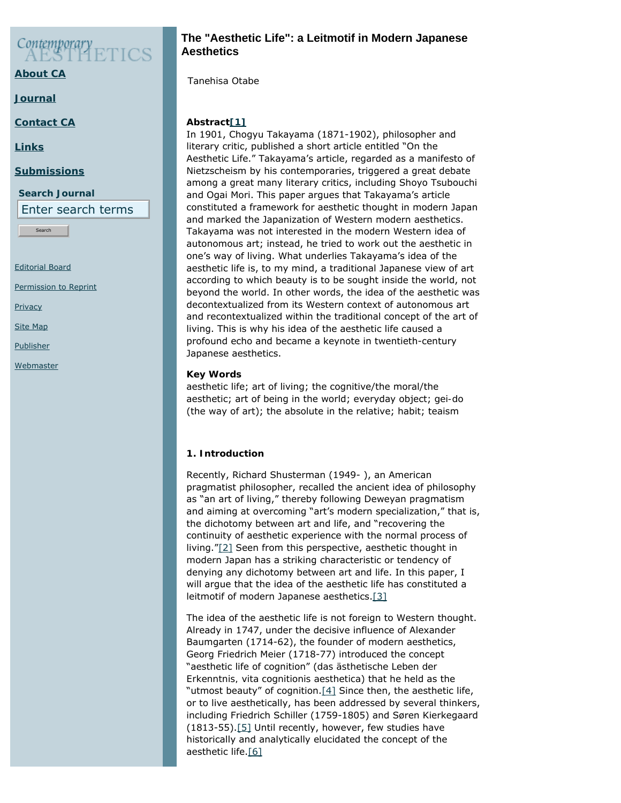# Contemporary

**[About CA](https://www.contempaesthetics.org/pages/about.html)**

**[Journal](https://www.contempaesthetics.org/newvolume/pages/journal.php)**

<span id="page-1-0"></span>**[Contact CA](https://www.contempaesthetics.org/pages/contact.html)**

**[Links](https://www.contempaesthetics.org/pages/links.html)**

### **[Submissions](https://www.contempaesthetics.org/pages/guidelines.html)**

**Search Journal** Enter search terms

Search

[Editorial Board](https://www.contempaesthetics.org/pages/editorialboard.html)

[Permission to Reprint](https://www.contempaesthetics.org/pages/reprint.html)

**[Privacy](https://www.contempaesthetics.org/pages/privacy.html)** 

[Site Map](https://www.contempaesthetics.org/pages/sitemap.html)

**[Publisher](https://www.contempaesthetics.org/pages/publisher.html)** 

<span id="page-1-1"></span>**[Webmaster](mailto:webmaster@contempaesthetics.org)** 

# **The "Aesthetic Life": a Leitmotif in Modern Japanese Aesthetics**

 *Tanehisa Otabe*

# **Abstrac[t\[1\]](http://www.contempaesthetics.org/newvolume/editor/editarticle.php?leftpane=Articles&articleID=821&command=editarticle&http_referer=L25ld3ZvbHVtZS9lZGl0b3IvY29udHJvbHBhbmVsLnBocD8=#FN1)**

In 1901, Chogyu Takayama (1871-1902), philosopher and literary critic, published a short article entitled "On the Aesthetic Life." Takayama's article, regarded as a manifesto of Nietzscheism by his contemporaries, triggered a great debate among a great many literary critics, including Shoyo Tsubouchi and Ogai Mori. This paper argues that Takayama's article constituted a framework for aesthetic thought in modern Japan and marked the Japanization of Western modern aesthetics. Takayama was not interested in the modern Western idea of autonomous art; instead, he tried to work out the aesthetic in one's way of living. What underlies Takayama's idea of the aesthetic life is, to my mind, a traditional Japanese view of art according to which beauty is to be sought inside the world, not beyond the world. In other words, the idea of the aesthetic was decontextualized from its Western context of autonomous art and recontextualized within the traditional concept of the art of living. This is why his idea of the aesthetic life caused a profound echo and became a keynote in twentieth-century Japanese aesthetics.

## **Key Words**

aesthetic life; art of living; the cognitive/the moral/the aesthetic; art of being in the world; everyday object; *gei-do* (the way of art); the absolute in the relative; habit; teaism

# **1. Introduction**

Recently, Richard Shusterman (1949- ), an American pragmatist philosopher, recalled the ancient idea of philosophy as "an art of living," thereby following Deweyan pragmatism and aiming at overcoming "art's modern specialization," that is, the dichotomy between art and life, and "recovering the continuity of aesthetic experience with the normal process of living.["\[2\]](#page-9-0) Seen from this perspective, aesthetic thought in modern Japan has a striking characteristic or tendency of denying any dichotomy between art and life. In this paper, I will argue that the idea of the aesthetic life has constituted a leitmotif of modern Japanese aesthetics[.\[3\]](#page-9-1)

<span id="page-1-5"></span><span id="page-1-4"></span><span id="page-1-3"></span><span id="page-1-2"></span>The idea of the aesthetic life is not foreign to Western thought. Already in 1747, under the decisive influence of Alexander Baumgarten (1714-62), the founder of modern aesthetics, Georg Friedrich Meier (1718-77) introduced the concept "aesthetic life of cognition" (*das ästhetische Leben der Erkenntnis, vita cognitionis aesthetica*) that he held as the "utmost beauty" of cognition[.\[4\]](#page-9-2) Since then, the aesthetic life, or to live aesthetically, has been addressed by several thinkers, including Friedrich Schiller (1759-1805) and Søren Kierkegaard (1813-55).[\[5\]](#page-9-3) Until recently, however, few studies have historically and analytically elucidated the concept of the aesthetic life[.\[6\]](#page-10-0)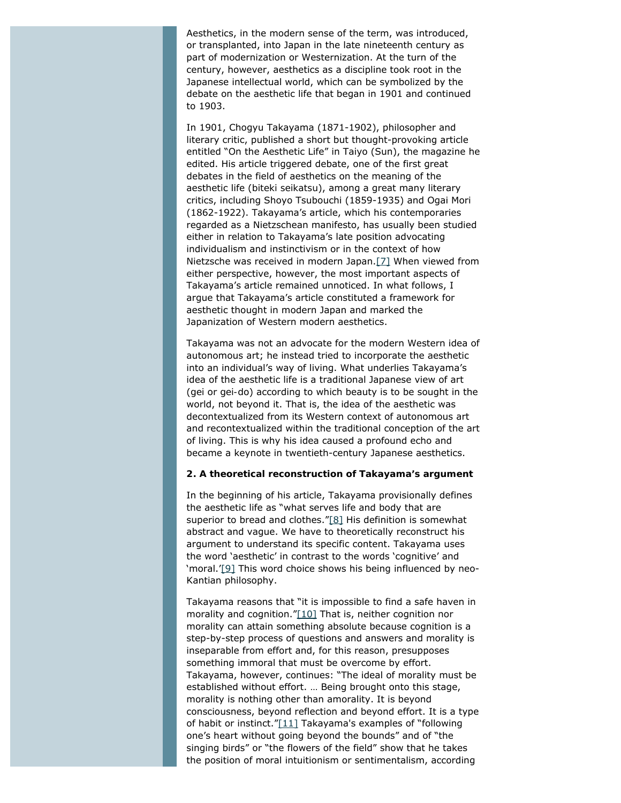Aesthetics, in the modern sense of the term, was introduced, or transplanted, into Japan in the late nineteenth century as part of modernization or Westernization. At the turn of the century, however, aesthetics as a discipline took root in the Japanese intellectual world, which can be symbolized by the debate on the aesthetic life that began in 1901 and continued to 1903.

In 1901, Chogyu Takayama (1871-1902), philosopher and literary critic, published a short but thought-provoking article entitled "On the Aesthetic Life" in *Taiyo* (Sun), the magazine he edited. His article triggered debate, one of the first great debates in the field of aesthetics on the meaning of the aesthetic life (*biteki seikatsu*), among a great many literary critics, including Shoyo Tsubouchi (1859-1935) and Ogai Mori (1862-1922). Takayama's article, which his contemporaries regarded as a Nietzschean manifesto, has usually been studied either in relation to Takayama's late position advocating individualism and instinctivism or in the context of how Nietzsche was received in modern Japan.[\[7\]](#page-10-1) When viewed from either perspective, however, the most important aspects of Takayama's article remained unnoticed. In what follows, I argue that Takayama's article constituted a framework for aesthetic thought in modern Japan and marked the Japanization of Western modern aesthetics.

<span id="page-2-0"></span>Takayama was not an advocate for the modern Western idea of autonomous art; he instead tried to incorporate the aesthetic into an individual's way of living. What underlies Takayama's idea of the aesthetic life is a traditional Japanese view of art (*gei* or *gei-do*) according to which beauty is to be sought in the world, not beyond it. That is, the idea of the aesthetic was decontextualized from its Western context of autonomous art and recontextualized within the traditional conception of the art of living. This is why his idea caused a profound echo and became a keynote in twentieth-century Japanese aesthetics.

#### **2. A theoretical reconstruction of Takayama's argument**

<span id="page-2-1"></span>In the beginning of his article, Takayama provisionally defines the aesthetic life as "what serves life and body that are superior to bread and clothes.["\[8\]](#page-10-2) His definition is somewhat abstract and vague. We have to theoretically reconstruct his argument to understand its specific content. Takayama uses the word 'aesthetic' in contrast to the words 'cognitive' and 'moral.['\[9\]](#page-10-3) This word choice shows his being influenced by neo-Kantian philosophy.

<span id="page-2-4"></span><span id="page-2-3"></span><span id="page-2-2"></span>Takayama reasons that "it is impossible to find a safe haven in morality and cognition."[\[10\]](#page-10-4) That is, neither cognition nor morality can attain something absolute because cognition is a step-by-step process of questions and answers and morality is inseparable from effort and, for this reason, presupposes something immoral that must be overcome by effort. Takayama, however, continues: "The ideal of morality must be established without effort. … Being brought onto this stage, morality is nothing other than amorality. It is beyond consciousness, beyond reflection and beyond effort. It is a type of habit or instinct." $[11]$  Takayama's examples of "following one's heart without going beyond the bounds" and of "the singing birds" or "the flowers of the field" show that he takes the position of moral intuitionism or sentimentalism, according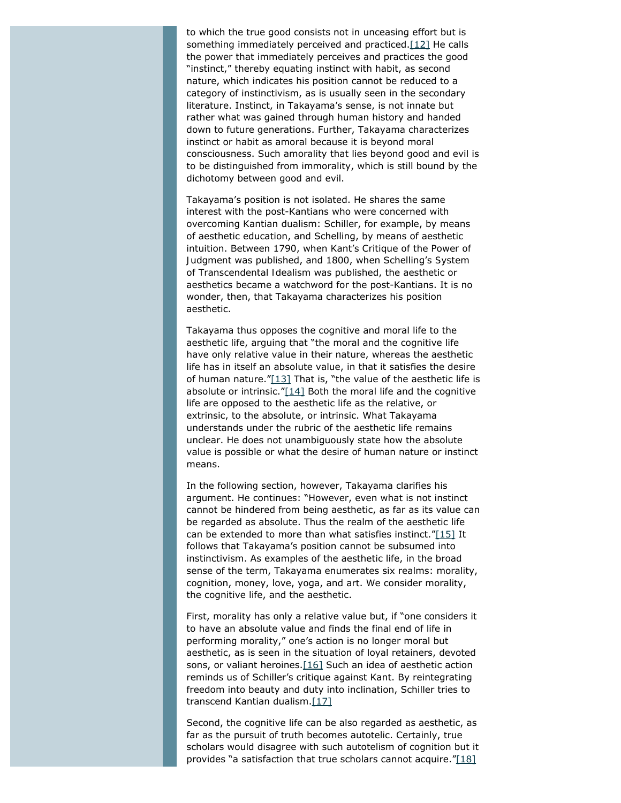<span id="page-3-0"></span>to which the true good consists not in unceasing effort but is something immediately perceived and practiced[.\[12\]](#page-10-6) He calls the power that immediately perceives and practices the good "instinct," thereby equating instinct with habit, as second nature, which indicates his position cannot be reduced to a category of instinctivism, as is usually seen in the secondary literature. Instinct, in Takayama's sense, is not innate but rather what was gained through human history and handed down to future generations. Further, Takayama characterizes instinct or habit as amoral because it is beyond moral consciousness. Such amorality that lies beyond good and evil is to be distinguished from immorality, which is still bound by the dichotomy between good and evil.

Takayama's position is not isolated. He shares the same interest with the post-Kantians who were concerned with overcoming Kantian dualism: Schiller, for example, by means of aesthetic education, and Schelling, by means of aesthetic intuition. Between 1790, when Kant's *Critique of the Power of Judgment* was published, and 1800, when Schelling's *System of Transcendental Idealism* was published, the aesthetic or aesthetics became a watchword for the post-Kantians. It is no wonder, then, that Takayama characterizes his position aesthetic.

<span id="page-3-2"></span><span id="page-3-1"></span>Takayama thus opposes the cognitive and moral life to the aesthetic life, arguing that "the moral and the cognitive life have only relative value in their nature, whereas the aesthetic life has in itself an absolute value, in that it satisfies the desire of human nature." $[13]$  That is, "the value of the aesthetic life is absolute or intrinsic." $[14]$  Both the moral life and the cognitive life are opposed to the aesthetic life as the relative, or extrinsic, to the absolute, or intrinsic. What Takayama understands under the rubric of the aesthetic life remains unclear. He does not unambiguously state how the absolute value is possible or what the desire of human nature or instinct means.

<span id="page-3-3"></span>In the following section, however, Takayama clarifies his argument. He continues: "However, even what is not instinct cannot be hindered from being aesthetic, as far as its value can be regarded as absolute. Thus the realm of the aesthetic life can be extended to more than what satisfies instinct.["\[15\]](#page-10-9) It follows that Takayama's position cannot be subsumed into instinctivism. As examples of the aesthetic life, in the broad sense of the term, Takayama enumerates six realms: morality, cognition, money, love, yoga, and art. We consider morality, the cognitive life, and the aesthetic.

<span id="page-3-4"></span>First, morality has only a relative value but, if "one considers it to have an absolute value and finds the final end of life in performing morality," one's action is no longer moral but aesthetic, as is seen in the situation of loyal retainers, devoted sons, or valiant heroines.<sup>[16]</sup> Such an idea of aesthetic action reminds us of Schiller's critique against Kant. By reintegrating freedom into beauty and duty into inclination, Schiller tries to transcend Kantian dualism[.\[17\]](#page-10-11)

<span id="page-3-6"></span><span id="page-3-5"></span>Second, the cognitive life can be also regarded as aesthetic, as far as the pursuit of truth becomes autotelic. Certainly, true scholars would disagree with such autotelism of cognition but it provides "a satisfaction that true scholars cannot acquire." $[18]$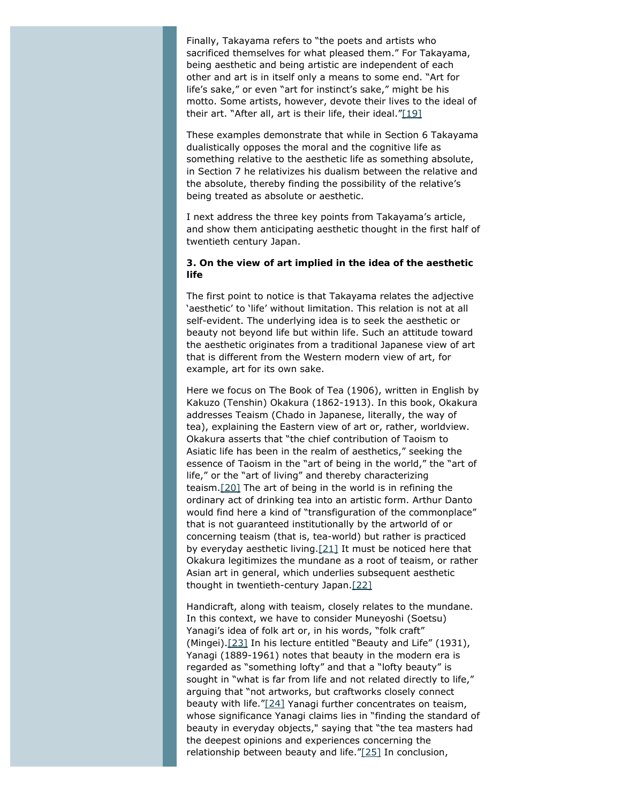Finally, Takayama refers to "the poets and artists who sacrificed themselves for what pleased them." For Takayama, being aesthetic and being artistic are independent of each other and art is in itself only a means to some end. "Art for life's sake," or even "art for instinct's sake," might be his motto. Some artists, however, devote their lives to the ideal of their art. "After all, art is their life, their ideal." $[19]$ 

<span id="page-4-0"></span>These examples demonstrate that while in Section 6 Takayama dualistically opposes the moral and the cognitive life as something relative to the aesthetic life as something absolute, in Section 7 he relativizes his dualism between the relative and the absolute, thereby finding the possibility of the relative's being treated as absolute or aesthetic.

I next address the three key points from Takayama's article, and show them anticipating aesthetic thought in the first half of twentieth century Japan.

#### **3. On the view of art implied in the idea of the aesthetic life**

The first point to notice is that Takayama relates the adjective 'aesthetic' to 'life' without limitation. This relation is not at all self-evident. The underlying idea is to seek the aesthetic or beauty not beyond life but within life. Such an attitude toward the aesthetic originates from a traditional Japanese view of art that is different from the Western modern view of art, for example, art for its own sake.

<span id="page-4-1"></span>Here we focus on *The Book of Tea* (1906), written in English by Kakuzo (Tenshin) Okakura (1862-1913). In this book, Okakura addresses Teaism (*Chado* in Japanese, literally, the way of tea), explaining the Eastern view of art or, rather, worldview. Okakura asserts that "the chief contribution of Taoism to Asiatic life has been in the realm of aesthetics," seeking the essence of Taoism in the "art of being in the world," the "art of life," or the "art of living" and thereby characterizing teaism[.\[20\]](#page-10-14) The art of being in the world is in refining the ordinary act of drinking tea into an artistic form. Arthur Danto would find here a kind of "transfiguration of the commonplace" that is not guaranteed institutionally by the artworld of or concerning teaism (that is, tea-world) but rather is practiced by everyday aesthetic living. $[21]$  It must be noticed here that Okakura legitimizes the mundane as a root of teaism, or rather Asian art in general, which underlies subsequent aesthetic thought in twentieth-century Japan[.\[22\]](#page-10-16)

<span id="page-4-6"></span><span id="page-4-5"></span><span id="page-4-4"></span><span id="page-4-3"></span><span id="page-4-2"></span>Handicraft, along with teaism, closely relates to the mundane. In this context, we have to consider Muneyoshi (Soetsu) Yanagi's idea of folk art or, in his words, "folk craft" (*Mingei*).[\[23\]](#page-10-17) In his lecture entitled "Beauty and Life" (1931), Yanagi (1889-1961) notes that beauty in the modern era is regarded as "something lofty" and that a "lofty beauty" is sought in "what is far from life and not related directly to life," arguing that "not artworks, but craftworks closely connect beauty with life.["\[24\]](#page-10-18) Yanagi further concentrates on teaism, whose significance Yanagi claims lies in "finding the standard of beauty in everyday objects," saying that "the tea masters had the deepest opinions and experiences concerning the relationship between beauty and life.["\[25\]](#page-11-0) In conclusion,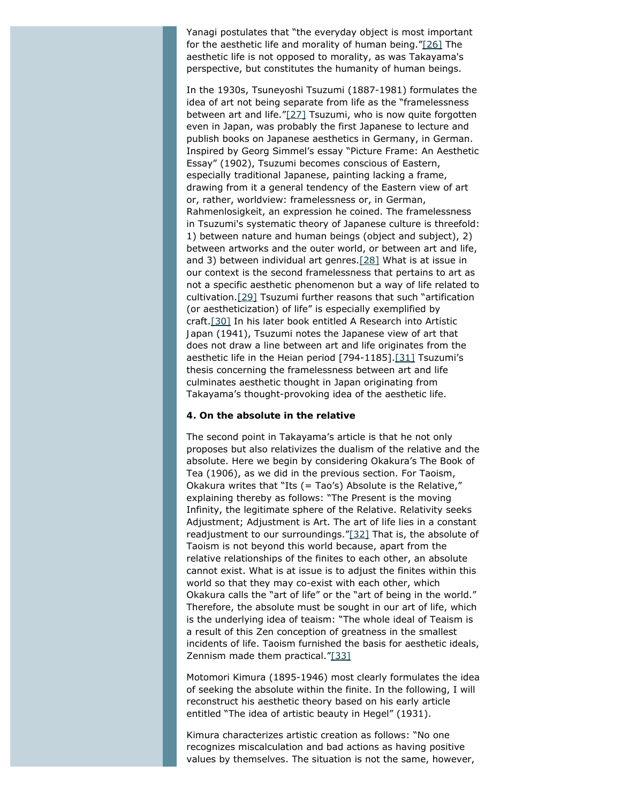<span id="page-5-0"></span>Yanagi postulates that "the everyday object is most important for the aesthetic life and morality of human being."[\[26\]](#page-11-1) The aesthetic life is not opposed to morality, as was Takayama's perspective, but constitutes the humanity of human beings.

<span id="page-5-1"></span>In the 1930s, Tsuneyoshi Tsuzumi (1887-1981) formulates the idea of art not being separate from life as the "framelessness between art and life.["\[27\]](#page-11-2) Tsuzumi, who is now quite forgotten even in Japan, was probably the first Japanese to lecture and publish books on Japanese aesthetics in Germany, in German. Inspired by Georg Simmel's essay "Picture Frame: An Aesthetic Essay" (1902), Tsuzumi becomes conscious of Eastern, especially traditional Japanese, painting lacking a frame, drawing from it a general tendency of the Eastern view of art or, rather, worldview: framelessness or, in German, *Rahmenlosigkeit*, an expression he coined. The framelessness in Tsuzumi's systematic theory of Japanese culture is threefold: 1) between nature and human beings (object and subject), 2) between artworks and the outer world, or between art and life, and 3) between individual art genres[.\[28\]](#page-11-3) What is at issue in our context is the second framelessness that pertains to art as not a specific aesthetic phenomenon but a way of life related to cultivation[.\[29\]](#page-11-4) Tsuzumi further reasons that such "artification (or aestheticization) of life" is especially exemplified by craft[.\[30\]](#page-11-5) In his later book entitled *A Research into Artistic Japan* (1941), Tsuzumi notes the Japanese view of art that does not draw a line between art and life originates from the aesthetic life in the Heian period [794-1185].[\[31\]](#page-11-6) Tsuzumi's thesis concerning the framelessness between art and life culminates aesthetic thought in Japan originating from Takayama's thought-provoking idea of the aesthetic life.

#### <span id="page-5-5"></span><span id="page-5-4"></span><span id="page-5-3"></span><span id="page-5-2"></span>**4. On the absolute in the relative**

<span id="page-5-6"></span>The second point in Takayama's article is that he not only proposes but also relativizes the dualism of the relative and the absolute. Here we begin by considering Okakura's *The Book of Tea* (1906), as we did in the previous section. For Taoism, Okakura writes that "Its (= Tao's) Absolute is the Relative," explaining thereby as follows: "The Present is the moving Infinity, the legitimate sphere of the Relative. Relativity seeks Adjustment; Adjustment is Art. The art of life lies in a constant readjustment to our surroundings.["\[32\]](#page-11-7) That is, the absolute of Taoism is not beyond this world because, apart from the relative relationships of the finites to each other, an absolute cannot exist. What is at issue is to adjust the finites within this world so that they may co-exist with each other, which Okakura calls the "art of life" or the "art of being in the world." Therefore, the absolute must be sought in our art of life, which is the underlying idea of teaism: "The whole ideal of Teaism is a result of this Zen conception of greatness in the smallest incidents of life. Taoism furnished the basis for aesthetic ideals, Zennism made them practical.["\[33\]](#page-11-8)

<span id="page-5-7"></span>Motomori Kimura (1895-1946) most clearly formulates the idea of seeking the absolute within the finite. In the following, I will reconstruct his aesthetic theory based on his early article entitled "The idea of artistic beauty in Hegel" (1931).

Kimura characterizes artistic creation as follows: "No one recognizes miscalculation and bad actions as having positive values *by themselves*. The situation is not the same, however,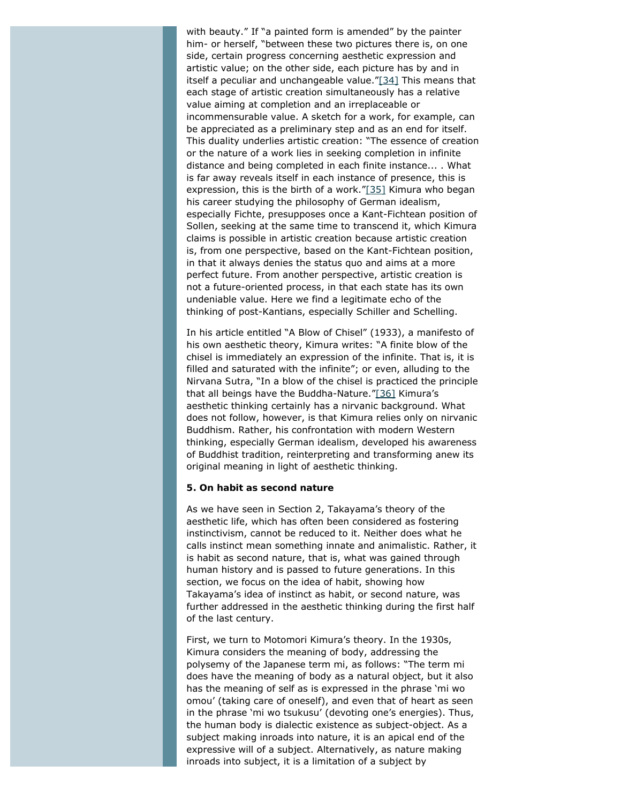<span id="page-6-0"></span>with beauty." If "a painted form is amended" by the painter him- or herself, "between these two pictures there is, on one side, certain progress concerning aesthetic expression and artistic value; on the other side, each picture has *by and in itself* a peculiar and unchangeable value.["\[34\]](#page-11-9) This means that each stage of artistic creation simultaneously has a relative value aiming at completion and an irreplaceable or incommensurable value. A sketch for a work, for example, can be appreciated as a preliminary step and as an end for itself. This duality underlies artistic creation: "The essence of creation or the nature of a work lies in seeking completion in infinite distance *and* being completed in each finite instance... . What is far away reveals itself in each instance of presence, this is expression, this is the birth of a work.["\[35\]](#page-11-10) Kimura who began his career studying the philosophy of German idealism, especially Fichte, presupposes once a Kant-Fichtean position of Sollen, seeking at the same time to transcend it, which Kimura claims is possible in artistic creation because artistic creation is, from one perspective, based on the Kant-Fichtean position, in that it always denies the status quo and aims at a more perfect future. From another perspective, artistic creation is not a future-oriented process, in that each state has its own undeniable value. Here we find a legitimate echo of the thinking of post-Kantians, especially Schiller and Schelling.

<span id="page-6-2"></span><span id="page-6-1"></span>In his article entitled "A Blow of Chisel" (1933), a manifesto of his own aesthetic theory, Kimura writes: "A finite blow of the chisel is immediately an expression of the infinite. That is, it is filled and saturated with the infinite"; or even, alluding to the *Nirvana Sutra*, "In a blow of the chisel is practiced the principle that all beings have the Buddha-Nature.["\[36\]](#page-11-11) Kimura's aesthetic thinking certainly has a nirvanic background. What does not follow, however, is that Kimura relies only on nirvanic Buddhism. Rather, his confrontation with modern Western thinking, especially German idealism, developed his awareness of Buddhist tradition, reinterpreting and transforming anew its original meaning in light of aesthetic thinking.

#### **5. On habit as second nature**

As we have seen in Section 2, Takayama's theory of the aesthetic life, which has often been considered as fostering instinctivism, cannot be reduced to it. Neither does what he calls instinct mean something innate and animalistic. Rather, it is habit as second nature, that is, what was gained through human history and is passed to future generations. In this section, we focus on the idea of habit, showing how Takayama's idea of instinct as habit, or second nature, was further addressed in the aesthetic thinking during the first half of the last century.

First, we turn to Motomori Kimura's theory. In the 1930s, Kimura considers the meaning of body, addressing the polysemy of the Japanese term *mi*, as follows: "The term *mi* does have the meaning of body as a natural object, but it also has the meaning of self as is expressed in the phrase '*mi wo omou*' (taking care of oneself), and even that of heart as seen in the phrase '*mi wo tsukusu*' (devoting one's energies). Thus, the human body is dialectic existence as subject-object. As a subject making inroads into nature, it is an apical end of the expressive will of a subject. Alternatively, as nature making inroads into subject, it is a limitation of a subject by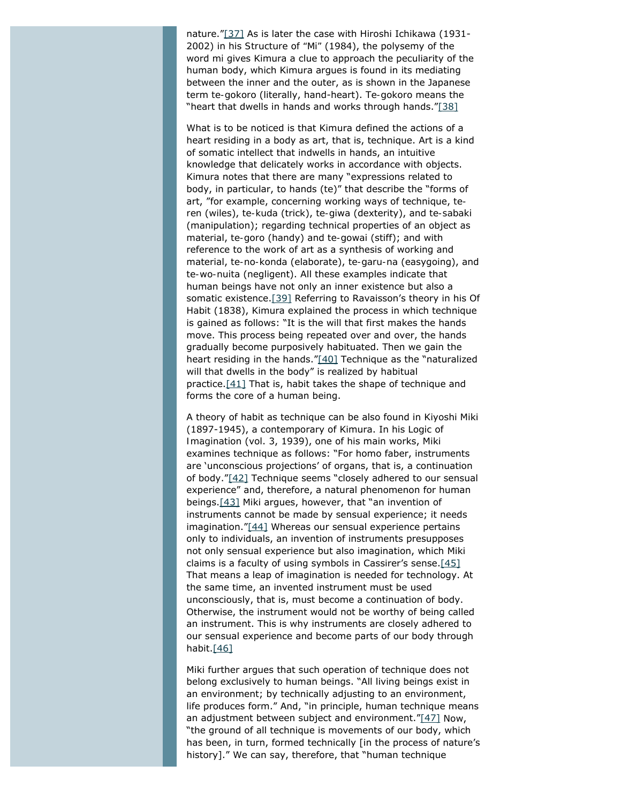<span id="page-7-0"></span>nature."[\[37\]](#page-11-12) As is later the case with Hiroshi Ichikawa (1931-2002) in his *Structure of "Mi"* (1984), the polysemy of the word *mi* gives Kimura a clue to approach the peculiarity of the human body, which Kimura argues is found in its mediating between the inner and the outer, as is shown in the Japanese term *te-gokoro* (literally, hand-heart). *Te-gokoro* means the "heart that dwells in hands and works through hands.["\[38\]](#page-11-13)

<span id="page-7-1"></span>What is to be noticed is that Kimura defined the actions of a heart residing in a body as art, that is, technique. Art is a kind of somatic intellect that indwells in hands, an intuitive knowledge that delicately works in accordance with objects. Kimura notes that there are many "expressions related to body, in particular, to hands (*te*)" that describe the "forms of art, "for example, concerning working ways of technique, *teren* (wiles), *te-kuda* (trick), *te-giwa* (dexterity), and *te-sabaki* (manipulation); regarding technical properties of an object as material, *te-goro* (handy) and *te-gowai* (stiff); and with reference to the work of art as a synthesis of working and material, *te-no-konda* (elaborate), *te-garu-na* (easygoing), and *te-wo-nuita* (negligent). All these examples indicate that human beings have not only an inner existence but also a somatic existence[.\[39\]](#page-11-14) Referring to Ravaisson's theory in his *Of Habit* (1838), Kimura explained the process in which technique is gained as follows: "It is the will that first makes the hands move. This process being repeated over and over, the hands gradually become purposively habituated. Then we gain the heart residing in the hands.["\[40\]](#page-11-15) Technique as the "naturalized will that dwells in the body" is realized by habitual practice[.\[41\]](#page-11-16) That is, habit takes the shape of technique and forms the core of a human being.

<span id="page-7-7"></span><span id="page-7-6"></span><span id="page-7-5"></span><span id="page-7-4"></span><span id="page-7-3"></span><span id="page-7-2"></span>A theory of habit as technique can be also found in Kiyoshi Miki (1897-1945), a contemporary of Kimura. In his *Logic of Imagination* (vol. 3, 1939), one of his main works, Miki examines technique as follows: "For homo faber, instruments are 'unconscious projections' of organs, that is, a continuation of body.["\[42\]](#page-11-17) Technique seems "closely adhered to our sensual experience" and, therefore, a natural phenomenon for human beings[.\[43\]](#page-11-18) Miki argues, however, that "an invention of instruments cannot be made by sensual experience; it needs imagination.["\[44\]](#page-11-19) Whereas our sensual experience pertains only to individuals, an invention of instruments presupposes not only sensual experience but also imagination, which Miki claims is a faculty of using symbols in Cassirer's sense.[\[45\]](#page-11-20) That means a leap of imagination is needed for technology. At the same time, an invented instrument must be used unconsciously, that is, must become a continuation of body. Otherwise, the instrument would not be worthy of being called an instrument. This is why instruments are closely adhered to our sensual experience and become parts of our body through habit[.\[46\]](#page-12-0)

<span id="page-7-10"></span><span id="page-7-9"></span><span id="page-7-8"></span>Miki further argues that such operation of technique does not belong exclusively to human beings. "All living beings exist in an environment; by technically adjusting to an environment, life produces form." And, "in principle, human technique means an adjustment between subject and environment.["\[47\]](#page-12-1) Now, "the ground of all technique is movements of our body, which has been, in turn, formed technically [in the process of nature's history]." We can say, therefore, that "human technique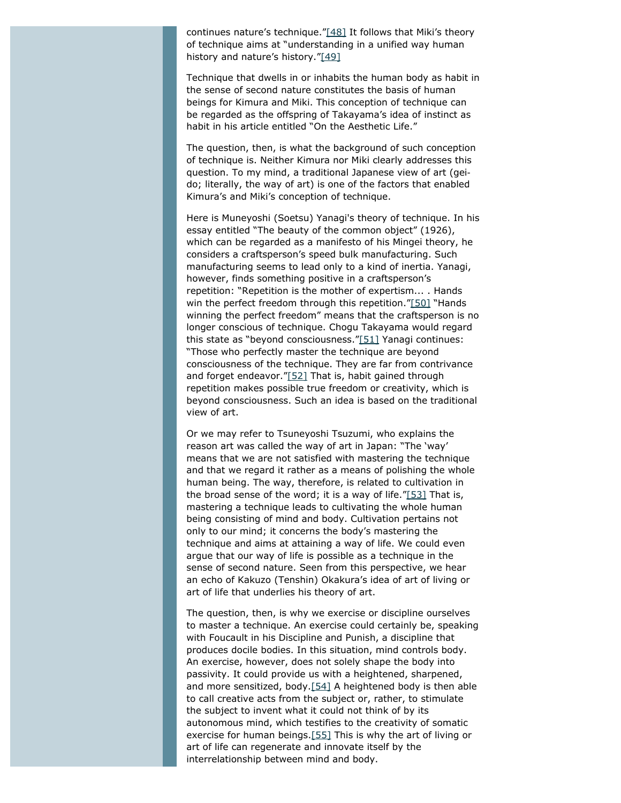<span id="page-8-0"></span>continues nature's technique.["\[48\]](#page-12-2) It follows that Miki's theory of technique aims at "understanding in a unified way human history and nature's history.["\[49\]](#page-12-3)

<span id="page-8-1"></span>Technique that dwells in or inhabits the human body as habit in the sense of second nature constitutes the basis of human beings for Kimura and Miki. This conception of technique can be regarded as the offspring of Takayama's idea of instinct as habit in his article entitled "On the Aesthetic Life."

The question, then, is what the background of such conception of technique is. Neither Kimura nor Miki clearly addresses this question. To my mind, a traditional Japanese view of art (*geido*; literally, the way of art) is one of the factors that enabled Kimura's and Miki's conception of technique.

<span id="page-8-2"></span>Here is Muneyoshi (Soetsu) Yanagi's theory of technique. In his essay entitled "The beauty of the common object" (1926), which can be regarded as a manifesto of his *Mingei* theory, he considers a craftsperson's speed bulk manufacturing. Such manufacturing seems to lead only to a kind of inertia. Yanagi, however, finds something positive in a craftsperson's repetition: "Repetition is the mother of expertism... . Hands win the perfect freedom through this repetition.["\[50\]](#page-12-4) "Hands winning the perfect freedom" means that the craftsperson is no longer conscious of technique. Chogu Takayama would regard this state as "beyond consciousness.["\[51\]](#page-12-5) Yanagi continues: "Those who perfectly master the technique are beyond consciousness of the technique. They are far from contrivance and forget endeavor.["\[52\]](#page-12-6) That is, habit gained through repetition makes possible true freedom or creativity, which is beyond consciousness. Such an idea is based on the traditional view of art.

<span id="page-8-5"></span><span id="page-8-4"></span><span id="page-8-3"></span>Or we may refer to Tsuneyoshi Tsuzumi, who explains the reason art was called the way of art in Japan: "The 'way' means that we are not satisfied with mastering the technique and that we regard it rather as a means of polishing the whole human being. The *way*, therefore, is related to *cultivation* in the broad sense of the word; it is a way of life. $T_{53}$ ] That is, mastering a technique leads to cultivating the whole human being consisting of mind and body. Cultivation pertains not only to our mind; it concerns the body's mastering the technique and aims at attaining a way of life. We could even argue that our way of life is possible as a technique in the sense of second nature. Seen from this perspective, we hear an echo of Kakuzo (Tenshin) Okakura's idea of art of living or art of life that underlies his theory of art.

<span id="page-8-7"></span><span id="page-8-6"></span>The question, then, is why we exercise or discipline ourselves to master a technique. An exercise could certainly be, speaking with Foucault in his *Discipline and Punish*, a discipline that produces docile bodies. In this situation, mind controls body. An exercise, however, does not solely shape the body into passivity. It could provide us with a heightened, sharpened, and more sensitized, body.<sup>[54]</sup> A heightened body is then able to call creative acts from the subject or, rather, to stimulate the subject to invent what it could not think of by its autonomous mind, which testifies to the creativity of somatic exercise for human beings[.\[55\]](#page-12-9) This is why the art of living or art of life can regenerate and innovate itself by the interrelationship between mind and body.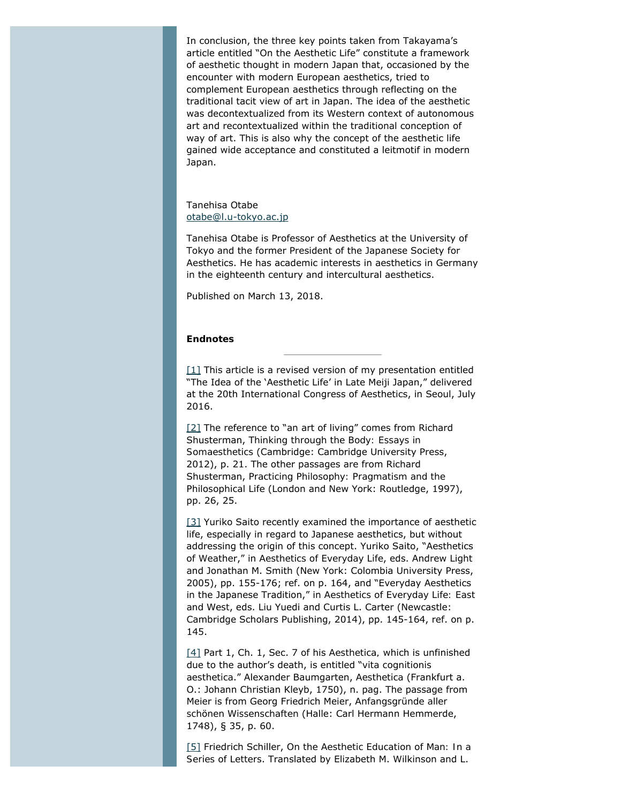In conclusion, the three key points taken from Takayama's article entitled "On the Aesthetic Life" constitute a framework of aesthetic thought in modern Japan that, occasioned by the encounter with modern European aesthetics, tried to complement European aesthetics through reflecting on the traditional tacit view of art in Japan. The idea of the aesthetic was decontextualized from its Western context of autonomous art and recontextualized within the traditional conception of way of art. This is also why the concept of the aesthetic life gained wide acceptance and constituted a leitmotif in modern Japan.

Tanehisa Otabe [otabe@l.u-tokyo.ac.jp](mailto:otabe@l.u-tokyo.ac.jp)

Tanehisa Otabe is Professor of Aesthetics at the University of Tokyo and the former President of the Japanese Society for Aesthetics. He has academic interests in aesthetics in Germany in the eighteenth century and intercultural aesthetics.

Published on March 13, 2018.

#### **Endnotes**

 $[1]$  This article is a revised version of my presentation entitled "The Idea of the 'Aesthetic Life' in Late Meiji Japan," delivered at the 20th International Congress of Aesthetics, in Seoul, July 2016.

<span id="page-9-0"></span>[\[2\]](#page-1-1) The reference to "an art of living" comes from Richard Shusterman, *Thinking through the Body: Essays in Somaesthetics* (Cambridge: Cambridge University Press, 2012), p. 21. The other passages are from Richard Shusterman, *Practicing Philosophy: Pragmatism and the Philosophical Life* (London and New York: Routledge, 1997), pp. 26, 25.

<span id="page-9-1"></span>[\[3\]](#page-1-2) Yuriko Saito recently examined the importance of aesthetic life, especially in regard to Japanese aesthetics, but without addressing the origin of this concept. Yuriko Saito, "Aesthetics of Weather," in *Aesthetics of Everyday Life*, eds. Andrew Light and Jonathan M. Smith (New York: Colombia University Press, 2005), pp. 155-176; ref. on p. 164, and "Everyday Aesthetics in the Japanese Tradition," in *Aesthetics of Everyday Life: East and West*, eds. Liu Yuedi and Curtis L. Carter (Newcastle: Cambridge Scholars Publishing, 2014), pp. 145-164, ref. on p. 145.

<span id="page-9-2"></span>[\[4\]](#page-1-3) Part 1, Ch. 1, Sec. 7 of his *Aesthetica,* which is unfinished due to the author's death, is entitled "*vita cognitionis aesthetica*." Alexander Baumgarten, *Aesthetica* (Frankfurt a. O.: Johann Christian Kleyb, 1750), n. pag. The passage from Meier is from Georg Friedrich Meier, *Anfangsgründe aller schönen Wissenschaften* (Halle: Carl Hermann Hemmerde, 1748), § 35, p. 60.

<span id="page-9-3"></span>[\[5\]](#page-1-4) Friedrich Schiller, *On the Aesthetic Education of Man: In a Series of Letters*. Translated by Elizabeth M. Wilkinson and L.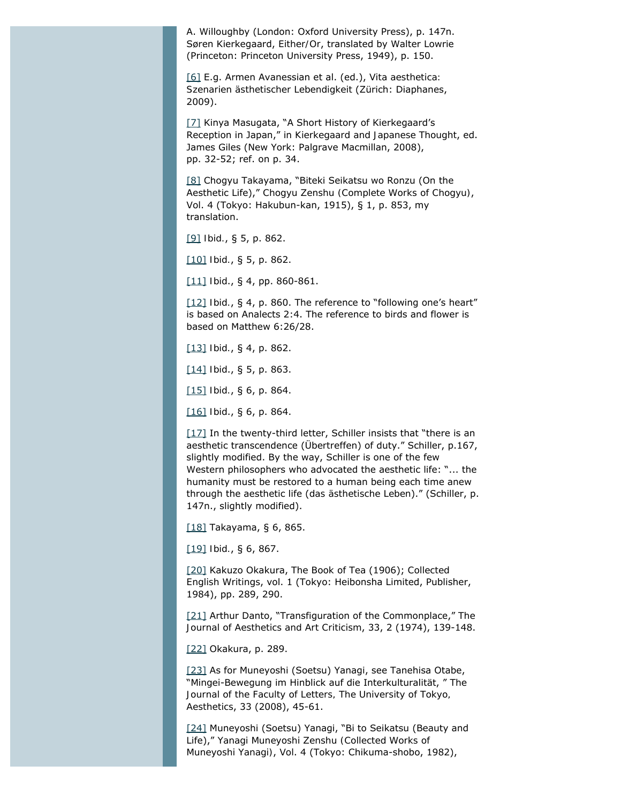A. Willoughby (London: Oxford University Press), p. 147n. Søren Kierkegaard, *Either/Or*, translated by Walter Lowrie (Princeton: Princeton University Press, 1949), p. 150.

<span id="page-10-0"></span>[\[6\]](#page-1-5) E.g. Armen Avanessian et al. (ed.), *Vita aesthetica: Szenarien ästhetischer Lebendigkeit* (Zürich: Diaphanes, 2009).

<span id="page-10-1"></span>[\[7\]](#page-2-0) Kinya Masugata, "A Short History of Kierkegaard's Reception in Japan," in *Kierkegaard and Japanese Thought*, ed. James Giles (New York: Palgrave Macmillan, 2008), pp. 32-52; ref. on p. 34.

<span id="page-10-2"></span>[\[8\]](#page-2-1) Chogyu Takayama, "Biteki Seikatsu wo Ronzu (On the Aesthetic Life)," *Chogyu Zenshu (Complete Works of Chogyu)*, Vol. 4 (Tokyo: Hakubun-kan, 1915), § 1, p. 853, my translation.

<span id="page-10-3"></span>[\[9\]](#page-2-2) *Ibid.*, § 5, p. 862.

<span id="page-10-4"></span>[\[10\]](#page-2-3) *Ibid.*, § 5, p. 862.

<span id="page-10-5"></span>[\[11\]](#page-2-4) *Ibid*., § 4, pp. 860-861.

<span id="page-10-6"></span>[\[12\]](#page-3-0) *Ibid.*, § 4, p. 860. The reference to "following one's heart" is based on Analects 2:4. The reference to birds and flower is based on Matthew 6:26/28.

<span id="page-10-7"></span>[\[13\]](#page-3-1) *Ibid.*, § 4, p. 862.

<span id="page-10-8"></span>[\[14\]](#page-3-2) *Ibid*., § 5, p. 863.

<span id="page-10-9"></span>[\[15\]](#page-3-3) *Ibid.*, § 6, p. 864.

<span id="page-10-10"></span>[\[16\]](#page-3-4) *Ibid*., § 6, p. 864.

<span id="page-10-11"></span>[\[17\]](#page-3-5) In the twenty-third letter, Schiller insists that "there is an aesthetic transcendence (*Übertreffen*) of duty." Schiller, p.167, slightly modified. By the way, Schiller is one of the few Western philosophers who advocated the aesthetic life: "... the humanity must be restored to a human being each time anew through the aesthetic life (*das ästhetische Leben*)." (Schiller, p. 147n., slightly modified).

<span id="page-10-12"></span>[\[18\]](#page-3-6) Takayama, § 6, 865.

<span id="page-10-13"></span>[\[19\]](#page-4-0) *Ibid.*, § 6, 867.

<span id="page-10-14"></span>[\[20\]](#page-4-1) Kakuzo Okakura, *The Book of Tea* (1906); *Collected English Writings*, vol. 1 (Tokyo: Heibonsha Limited, Publisher, 1984), pp. 289, 290.

<span id="page-10-15"></span>[\[21\]](#page-4-2) Arthur Danto, "Transfiguration of the Commonplace," *The Journal of Aesthetics and Art Criticism*, 33, 2 (1974), 139-148.

<span id="page-10-16"></span>[\[22\]](#page-4-3) Okakura, p. 289.

<span id="page-10-17"></span>[\[23\]](#page-4-4) As for Muneyoshi (Soetsu) Yanagi, see Tanehisa Otabe, "*Mingei*-Bewegung im Hinblick auf die Interkulturalität, " *The Journal of the Faculty of Letters, The University of Tokyo, Aesthetics*, 33 (2008), 45-61.

<span id="page-10-18"></span>[\[24\]](#page-4-5) Muneyoshi (Soetsu) Yanagi, "Bi to Seikatsu (Beauty and Life)," *Yanagi Muneyoshi Zenshu (Collected Works of Muneyoshi Yanagi)*, Vol. 4 (Tokyo: Chikuma-shobo, 1982),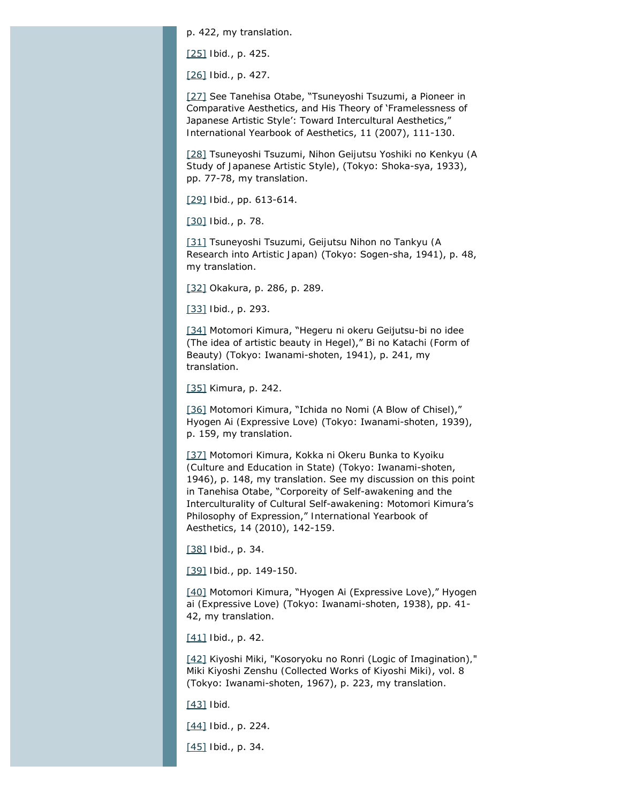p. 422, my translation.

<span id="page-11-0"></span>[\[25\]](#page-4-6) *Ibid.*, p. 425.

<span id="page-11-1"></span>[\[26\]](#page-5-0) *Ibid.*, p. 427.

<span id="page-11-2"></span>[\[27\]](#page-5-1) See Tanehisa Otabe, "Tsuneyoshi Tsuzumi, a Pioneer in Comparative Aesthetics, and His Theory of 'Framelessness of Japanese Artistic Style': Toward Intercultural Aesthetics," *International Yearbook of Aesthetics*, 11 (2007), 111-130.

<span id="page-11-3"></span>[\[28\]](#page-5-2) Tsuneyoshi Tsuzumi, *Nihon Geijutsu Yoshiki no Kenkyu (A Study of Japanese Artistic Style)*, (Tokyo: Shoka-sya, 1933), pp. 77-78, my translation.

<span id="page-11-4"></span>[\[29\]](#page-5-3) *Ibid.*, pp. 613-614.

<span id="page-11-5"></span>[\[30\]](#page-5-4) *Ibid.*, p. 78.

<span id="page-11-6"></span>[\[31\]](#page-5-5) Tsuneyoshi Tsuzumi, *Geijutsu Nihon no Tankyu (A Research into Artistic Japan)* (Tokyo: Sogen-sha, 1941), p. 48, my translation.

<span id="page-11-7"></span>[\[32\]](#page-5-6) Okakura, p. 286, p. 289.

<span id="page-11-8"></span>[\[33\]](#page-5-7) *Ibid.*, p. 293.

<span id="page-11-9"></span>[\[34\]](#page-6-0) Motomori Kimura, "Hegeru ni okeru Geijutsu-bi no idee (The idea of artistic beauty in Hegel)," *Bi no Katachi (Form of Beauty)* (Tokyo: Iwanami-shoten, 1941), p. 241, my translation.

<span id="page-11-10"></span>[\[35\]](#page-6-1) Kimura, p. 242.

<span id="page-11-11"></span>[\[36\]](#page-6-2) Motomori Kimura, "Ichida no Nomi (A Blow of Chisel)," *Hyogen Ai (Expressive Love)* (Tokyo: Iwanami-shoten, 1939), p. 159, my translation.

<span id="page-11-12"></span>[\[37\]](#page-7-0) Motomori Kimura, *Kokka ni Okeru Bunka to Kyoiku (Culture and Education in State)* (Tokyo: Iwanami-shoten, 1946), p. 148, my translation. See my discussion on this point in Tanehisa Otabe, "Corporeity of Self-awakening and the Interculturality of Cultural Self-awakening: Motomori Kimura's Philosophy of Expression," *International Yearbook of Aesthetics*, 14 (2010), 142-159.

<span id="page-11-13"></span>[\[38\]](#page-7-1) *Ibid*., p. 34.

<span id="page-11-14"></span>[\[39\]](#page-7-2) *Ibid.*, pp. 149-150.

<span id="page-11-15"></span>[\[40\]](#page-7-3) Motomori Kimura, "Hyogen Ai (Expressive Love)," *Hyogen ai (Expressive Love)* (Tokyo: Iwanami-shoten, 1938), pp. 41- 42, my translation.

<span id="page-11-17"></span><span id="page-11-16"></span>[\[41\]](#page-7-4) *Ibid*., p. 42.

[\[42\]](#page-7-5) Kiyoshi Miki, "Kosoryoku no Ronri (Logic of Imagination)*,*" *Miki Kiyoshi Zenshu (Collected Works of Kiyoshi Miki)*, vol. 8 (Tokyo: Iwanami-shoten, 1967), p. 223, my translation.

<span id="page-11-18"></span>[\[43\]](#page-7-6) *Ibid.*

<span id="page-11-19"></span>[\[44\]](#page-7-7) *Ibid.*, p. 224.

<span id="page-11-20"></span>[\[45\]](#page-7-8) *Ibid*., p. 34.